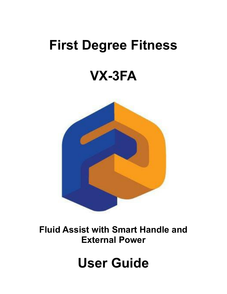# **First Degree Fitness**

# **VX-3FA**



**Fluid Assist with Smart Handle and External Power**

# **User Guide**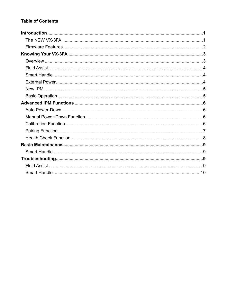# **Table of Contents**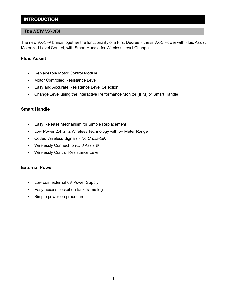# **INTRODUCTION**

#### *The NEW VX-3FA*

The new VX-3FA brings together the functionality of a First Degree Fitness VX-3 Rower with Fluid Assist Motorized Level Control, with Smart Handle for Wireless Level Change.

### **Fluid Assist**

- Replaceable Motor Control Module
- Motor Controlled Resistance Level
- Easy and Accurate Resistance Level Selection
- Change Level using the Interactive Performance Monitor (IPM) or Smart Handle

#### **Smart Handle**

- Easy Release Mechanism for Simple Replacement
- Low Power 2.4 GHz Wireless Technology with 5+ Meter Range
- Coded Wireless Signals No *Cross-talk*
- Wirelessly Connect to *Fluid Assist®*
- Wirelessly Control Resistance Level

#### **External Power**

- Low cost external 6V Power Supply
- Easy access socket on tank frame leg
- Simple power-on procedure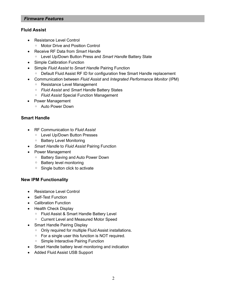#### *Firmware Features*

### **Fluid Assist**

- Resistance Level Control
	- Motor Drive and Position Control
- Receive RF Data from *Smart Handle*
	- Level Up/Down Button Press and *Smart Handle* Battery State
- Simple Calibration Function
- Simple *Fluid Assist* to *Smart Handle* Pairing Function
	- Default Fluid Assist RF ID for configuration free Smart Handle replacement
- Communication between *Fluid Assist* and *Integrated Performance Monitor* (IPM)
	- Resistance Level Management
	- *Fluid Assist* and *Smart Handle* Battery States
	- *Fluid Assist* Special Function Management
- Power Management
	- Auto Power Down

# **Smart Handle**

- RF Communication to *Fluid Assist*
	- Level Up/Down Button Presses
	- Battery Level Monitoring
- *Smart Handle* to *Fluid Assist* Pairing Function
- Power Management
	- Battery Saving and Auto Power Down
	- Battery level monitoring
	- Single button click to activate

# **New IPM Functionality**

- Resistance Level Control
- Self-Test Function
- Calibration Function
- Health Check Display
	- Fluid Assist & Smart Handle Battery Level
	- Current Level and Measured Motor Speed
- Smart Handle Pairing Display
	- Only required for multiple Fluid Assist installations.
	- For a single user this function is NOT required.
	- Simple Interactive Pairing Function
- Smart Handle battery level monitoring and indication
- Added Fluid Assist USB Support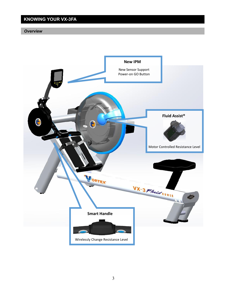# **KNOWING YOUR VX-3FA**

#### *Overview*

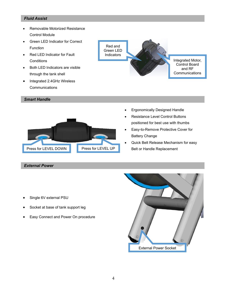#### *Fluid Assist*

- Removable Motorized Resistance Control Module
- Green LED Indicator for Correct Function
- Red LED Indicator for Fault **Conditions**
- Both LED Indicators are visible through the tank shell
- Integrated 2.4GHz Wireless **Communications**

#### *Smart Handle*



#### *External Power*



- Ergonomically Designed Handle
- Resistance Level Control Buttons positioned for best use with thumbs
- Easy-to-Remove Protective Cover for Battery Change
- Quick Belt Release Mechanism for easy Belt or Handle Replacement

- Single 6V external PSU
- Socket at base of tank support leg
- Easy Connect and Power On procedure

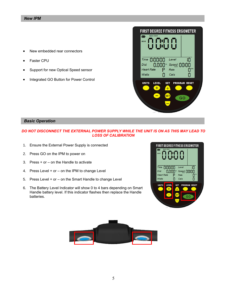- New embedded rear connectors
- **Faster CPU**
- Support for new Optical Speed sensor
- Integrated GO Button for Power Control



#### *Basic Operation*

#### *DO NOT DISCONNECT THE EXTERNAL POWER SUPPLY WHILE THE UNIT IS ON AS THIS MAY LEAD TO LOSS OF CALIBRATION*

- 1. Ensure the External Power Supply is connected
- 2. Press GO on the IPM to power on
- 3. Press + or on the Handle to activate
- 4. Press Level + or on the IPM to change Level
- 5. Press Level + or on the Smart Handle to change Level
- 6. The Battery Level Indicator will show 0 to 4 bars depending on Smart Handle battery level. If this indicator flashes then replace the Handle batteries.



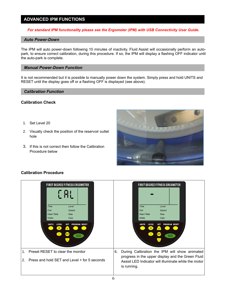# **ADVANCED IPM FUNCTIONS**

#### *For standard IPM functionality please see the Ergometer (IPM) with USB Connectivity User Guide.*

#### *Auto Power-Down*

The IPM will auto power-down following 10 minutes of inactivity. Fluid Assist will occasionally perform an autopark, to ensure correct calibration, during this procedure. If so, the IPM will display a flashing OFF indicator until the auto-park is complete.

#### *Manual Power-Down Function*

It is not recommended but it is possible to manually power down the system. Simply press and hold UNITS and RESET until the display goes off or a flashing OFF is displayed (see above).

#### *Calibration Function*

#### **Calibration Check**

- 1. Set Level 20
- 2. Visually check the position of the reservoir outlet hole
- 3. If this is not correct then follow the Calibration Procedure below



#### **Calibration Procedure**

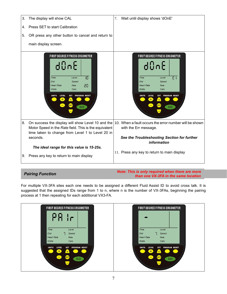

*Pairing Function Note: This is only required when there are more than one VX-3FA in the same location*

For multiple VX-3FA sites each one needs to be assigned a different Fluid Assist ID to avoid cross talk. It is suggested that the assigned IDs range from 1 to n, where n is the number of VX-3FAs, beginning the pairing process at 1 then repeating for each additional VX3-FA.

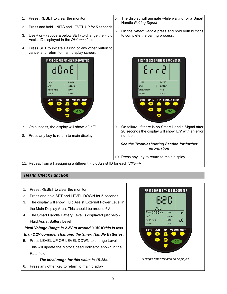

# *Health Check Function*

- 1. Preset RESET to clear the monitor
- 2. Press and hold SET and LEVEL DOWN for 5 seconds
- 3. The display will show Fluid Assist External Power Level in the Main Display Area. This should be around 6V.
- 4. The Smart Handle Battery Level is displayed just below Fluid Assist Battery Level

# *Ideal Voltage Range is 2.2V to around 3.3V. If this is less than 2.2V consider changing the Smart Handle Batteries.*

5. Press LEVEL UP OR LEVEL DOWN to change Level. This will update the Motor Speed Indicator, shown in the Rate field.

# *The ideal range for this value is 15-25s.*

6. Press any other key to return to main display

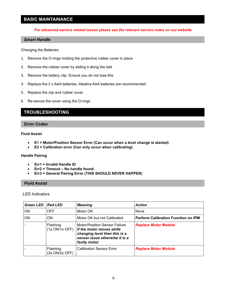# **BASIC MAINTAINANCE**

*For advanced service related issues please see the relevant service notes on our website.*

#### *Smart Handle*

Changing the Batteries

- 1. Remove the O-rings holding the protective rubber cover in place
- 2. Remove the rubber cover by sliding it along the belt
- 3. Remove the battery clip. Ensure you do not lose this
- 4. Replace the 2 x AAA batteries. Alkaline AAA batteries are recommended
- 5. Replace the clip and rubber cover
- 6. Re-secure the cover using the O-rings

# **TROUBLESHOOTING**

#### *Error Codes*

#### **Fluid Assist**

- **E1 = Motor/Position Sensor Error (Can occur when a level change is started)**
- **E2 = Calibration error (Can only occur when calibrating)**

#### **Handle Pairing**

- **Err1 = Invalid Handle ID**
- **Err2 = Timeout – No handle found**
- **Err3 = General Pairing Error (THIS SHOULD NEVER HAPPEN)**

#### *Fluid Assist*

#### *LED Indicators*

| <b>Green LED</b> | <b>Red LED</b>             | <b>Meaning</b>                                                                                                                                       | <b>Action</b>                              |
|------------------|----------------------------|------------------------------------------------------------------------------------------------------------------------------------------------------|--------------------------------------------|
| ON               | <b>OFF</b>                 | Motor OK                                                                                                                                             | None                                       |
| <b>ON</b>        | <b>ON</b>                  | Motor OK but not Calibrated                                                                                                                          | <b>Perform Calibration Function on IPM</b> |
|                  | Flashing<br>(1s ON/1s OFF) | <b>Motor/Position Sensor Failure</b><br>If the motor moves while<br>changing level then this is a<br>sensor issue otherwise it is a<br>faulty motor. | <b>Replace Motor Module</b>                |
|                  | Flashing<br>(2s ON/2s OFF) | <b>Calibration Sensor Error</b>                                                                                                                      | <b>Replace Motor Module</b>                |